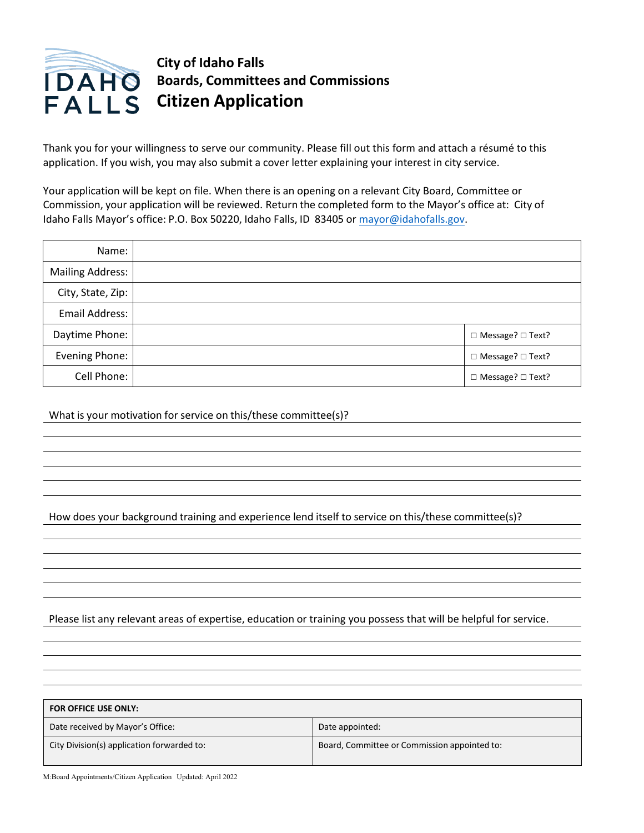

## **City of Idaho Falls Boards, Committees and Commissions Citizen Application**

Thank you for your willingness to serve our community. Please fill out this form and attach a résumé to this application. If you wish, you may also submit a cover letter explaining your interest in city service.

Your application will be kept on file. When there is an opening on a relevant City Board, Committee or Commission, your application will be reviewed. Return the completed form to the Mayor's office at: City of Idaho Falls Mayor's office: P.O. Box 50220, Idaho Falls, ID 83405 or [mayor@idahofalls.gov.](mailto:mayor@idahofallsidaho.gov)

| Name:             |                    |
|-------------------|--------------------|
| Mailing Address:  |                    |
| City, State, Zip: |                    |
| Email Address:    |                    |
| Daytime Phone:    | □ Message? □ Text? |
| Evening Phone:    | □ Message? □ Text? |
| Cell Phone:       | □ Message? □ Text? |

What is your motivation for service on this/these committee(s)?

How does your background training and experience lend itself to service on this/these committee(s)?

Please list any relevant areas of expertise, education or training you possess that will be helpful for service.

| <b>FOR OFFICE USE ONLY:</b>                |                                              |  |  |  |
|--------------------------------------------|----------------------------------------------|--|--|--|
| Date received by Mayor's Office:           | Date appointed:                              |  |  |  |
| City Division(s) application forwarded to: | Board, Committee or Commission appointed to: |  |  |  |

M:Board Appointments/Citizen Application Updated: April 2022